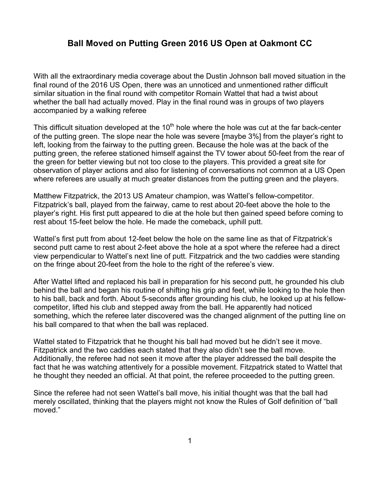## **Ball Moved on Putting Green 2016 US Open at Oakmont CC**

With all the extraordinary media coverage about the Dustin Johnson ball moved situation in the final round of the 2016 US Open, there was an unnoticed and unmentioned rather difficult similar situation in the final round with competitor Romain Wattel that had a twist about whether the ball had actually moved. Play in the final round was in groups of two players accompanied by a walking referee

This difficult situation developed at the  $10<sup>th</sup>$  hole where the hole was cut at the far back-center of the putting green. The slope near the hole was severe [maybe 3%] from the player's right to left, looking from the fairway to the putting green. Because the hole was at the back of the putting green, the referee stationed himself against the TV tower about 50-feet from the rear of the green for better viewing but not too close to the players. This provided a great site for observation of player actions and also for listening of conversations not common at a US Open where referees are usually at much greater distances from the putting green and the players.

Matthew Fitzpatrick, the 2013 US Amateur champion, was Wattel's fellow-competitor. Fitzpatrick's ball, played from the fairway, came to rest about 20-feet above the hole to the player's right. His first putt appeared to die at the hole but then gained speed before coming to rest about 15-feet below the hole. He made the comeback, uphill putt.

Wattel's first putt from about 12-feet below the hole on the same line as that of Fitzpatrick's second putt came to rest about 2-feet above the hole at a spot where the referee had a direct view perpendicular to Wattel's next line of putt. Fitzpatrick and the two caddies were standing on the fringe about 20-feet from the hole to the right of the referee's view.

After Wattel lifted and replaced his ball in preparation for his second putt, he grounded his club behind the ball and began his routine of shifting his grip and feet, while looking to the hole then to his ball, back and forth. About 5-seconds after grounding his club, he looked up at his fellowcompetitor, lifted his club and stepped away from the ball. He apparently had noticed something, which the referee later discovered was the changed alignment of the putting line on his ball compared to that when the ball was replaced.

Wattel stated to Fitzpatrick that he thought his ball had moved but he didn't see it move. Fitzpatrick and the two caddies each stated that they also didn't see the ball move. Additionally, the referee had not seen it move after the player addressed the ball despite the fact that he was watching attentively for a possible movement. Fitzpatrick stated to Wattel that he thought they needed an official. At that point, the referee proceeded to the putting green.

Since the referee had not seen Wattel's ball move, his initial thought was that the ball had merely oscillated, thinking that the players might not know the Rules of Golf definition of "ball moved."